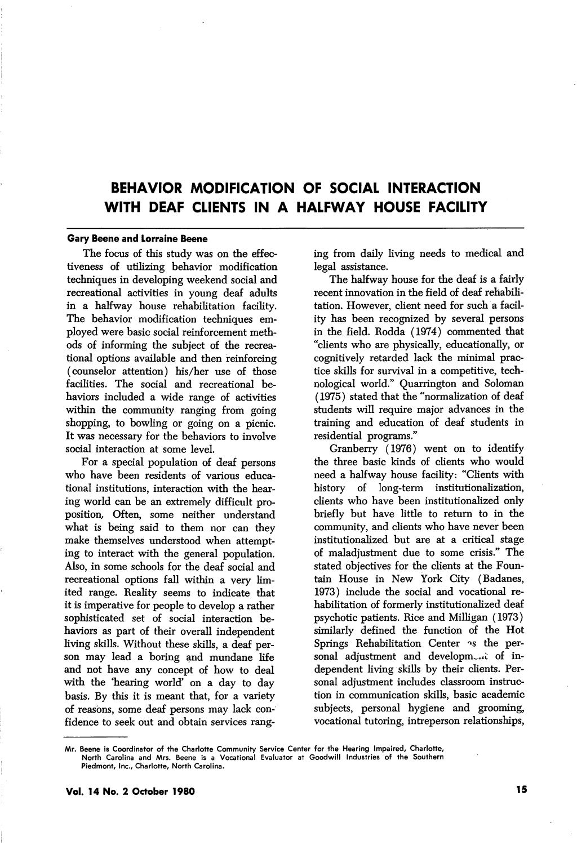# BEHAVIOR MODIFICATION OF SOCIAL INTERACTION WITH DEAF CLIENTS IN A HALFWAY HOUSE FACILITY

#### Gary Beene and Lorraine Beene

The focus of this study was on the effec tiveness of utilizing behavior modification techniques in developing weekend social and recreational activities in young deaf adults in a halfway house rehabilitation facility. The behavior modification techniques em ployed were basic social reinforcement meth ods of informing the subject of the recrea tional options available and then reinforcing (counselor attention) his/her use of those facilities. The social and recreational be haviors included a wide range of activities within the community ranging from going shopping, to bowling or going on a picnic. It was necessary for the behaviors to involve social interaction at some level.

For a special population of deaf persons who have been residents of various educa tional institutions, interaction with the hear ing world can be an extremely difficult pro position. Often, some neither understand what is being said to them nor can they make themselves understood when attempt ing to interact with the general population. Also, in some schools for the deaf social and recreational options fall within a very lim ited range. Reality seems to indicate that it is imperative for people to develop a rather sophisticated set of social interaction be haviors as part of their overall independent living skills. Without these skills, a deaf person may lead a boring and mundane life and not have any concept of how to deal with the 'hearing world' on a day to day basis. By this it is meant that, for a variety of reasons, some deaf persons may lack con fidence to seek out and obtain services rang

ing from daily living needs to medical and legal assistance.

The halfway house for the deaf is a fairly recent innovation in the field of deaf rehabili tation. However, client need for such a facil ity has been recognized by several persons in the field. Rodda (1974) commented that "clients who are physically, educationally, or cognitively retarded lack the minimal prac tice skills for survival in a competitive, tech nological world." Quarrington and Soloman (1975) stated that the "normalization of deaf students will require major advances in the training and education of deaf students in residential programs."

Cranberry (1976) went on to identify the three basic kinds of clients who would need a halfway house facility: "Clients with history of long-term institutionalization, clients who have been institutionalized only briefly but have little to return to in the community, and clients who have never been institutionalized but are at a critical stage of maladjustment due to some crisis." The stated objectives for the clients at the Foun tain House in New York City (Badanes, 1973) include the social and vocational re habilitation of formerly institutionalized deaf psychotic patients. Rice and Milligan (1973) similarly defined the function of the Hot Springs Rehabilitation Center  $\sim$ s the personal adjustment and development of independent living skills by their clients. Per sonal adjustment includes classroom instruc tion in communication skills, basic academic subjects, personal hygiene and grooming, vocational tutoring, intreperson relationships,

Mr. Beene is Coordinator of the Charlotte Community Service Center for the Hearing Impaired, Charlotte, North Carolina and Mrs. Beene is a Vocational Evaluator at Goodwill Industries of the Southern Piedmont, Inc., Charlotte, North Carolina.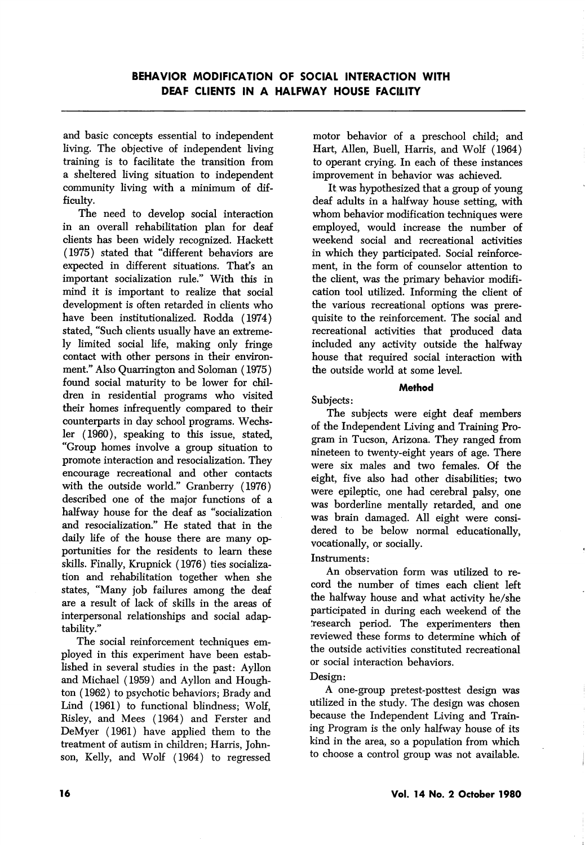and basic concepts essential to independent living. The objective of independent living training is to facilitate the transition from a sheltered living situation to independent community living with a minimum of dif ficulty.

The need to develop social interaction in an overall rehabilitation plan for deaf clients has been widely recognized. Hackett (1975) stated that "different behaviors are expected in different situations. That's an important socialization rule." With this in mind it is important to realize that social development is often retarded in clients who have been institutionalized. Rodda (1974) stated, "Such clients usually have an extreme ly limited social life, making only fringe contact with other persons in their environ ment." Also Quarrington and Soloman (1975) found social maturity to be lower for chil dren in residential programs who visited their homes infrequently compared to their counterparts in day school programs. Wechsler (1960), speaking to this issue, stated, "Group homes involve a group situation to promote interaction and resocialization. They encourage recreational and other contacts with the outside world." Cranberry (1976) described one of the major functions of a halfway house for the deaf as "socialization and resocialization." He stated that in the daily life of the house there are many opportunities for the residents to learn these skills. Finally, Krupnick (1976) ties socialization and rehabihtation together when she states, "Many job failures among the deaf are a result of lack of skills in the areas of interpersonal relationships and social adaptability."

The social reinforcement techniques em ployed in this experiment have been established in several studies in the past: Ayllon and Michael (1959) and Ayllon and Houghton (1962) to psychotic behaviors; Brady and Lind (1961) to functional blindness; Wolf, Risley, and Mees (1964) and Ferster and DeMyer (1961) have applied them to the treatment of autism in children; Harris, John son, Kelly, and Wolf (1964) to regressed motor behavior of a preschool child; and Hart, Allen, Buell, Harris, and Wolf (1964) to operant crying. In each of these instances improvement in behavior was achieved.

It was hypothesized that a group of young deaf adults in a haHway house setting, with whom behavior modification techniques were employed, would increase the number of weekend social and recreational activities in which they participated. Social reinforce ment, in the form of counselor attention to the client, was the primary behavior modification tool utilized. Informing the client of the various recreational options was prere quisite to the reinforcement. The social and recreational activities that produced data included any activity outside the halfway house that required social interaction with the outside world at some level.

### Method

Subjects:

The subjects were eight deaf members of the Independent Living and Training Pro gram in Tucson, Arizona. They ranged from nineteen to twenty-eight years of age. There were six males and two females. Of the eight, five also had other disabihties; two were epileptic, one had cerebral palsy, one was borderline mentally retarded, and one was brain damaged. All eight were consi dered to be below normal educationally, vocationally, or socially.

# Instruments:

An observation form was utilized to re cord the number of times each client left the halfway house and what activity he/she participated in during each weekend of the 'research period. The experimenters then reviewed these forms to determine which of the outside activities constituted recreational or social interaction behaviors.

# Design:

A one-group pretest-posttest design was utilized in the study. The design was chosen because the Independent Living and Train ing Program is the only halfway house of its kind in the area, so a population from which to choose a control group was not available.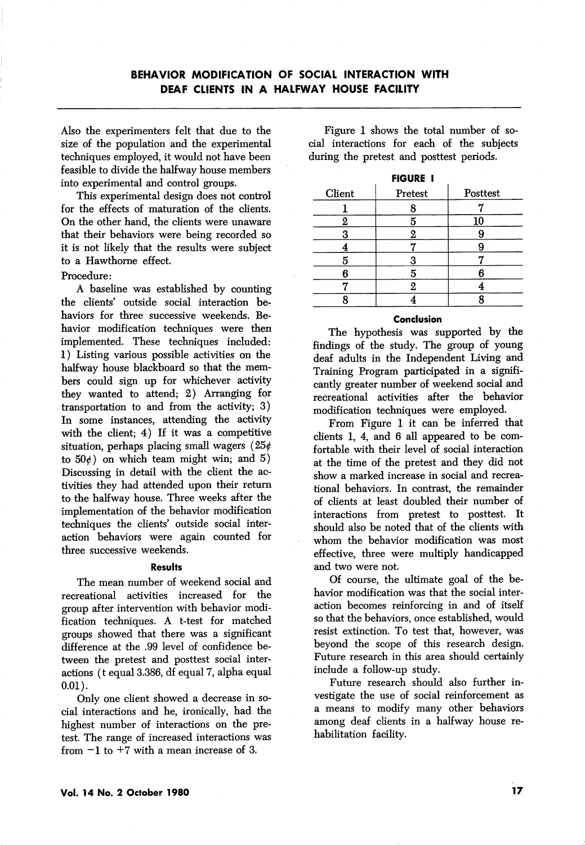Also the experimenters felt that due to the size of the population and the experimental techniques employed, it would not have been feasible to divide the halfway house members into experimental and control groups.

This experimental design does not control for the effects of maturation of the clients. On the other hand, the clients were unaware that their behaviors were being recorded so it is not likely that the results were subject to a Hawthorne effect.

## Procedure:

A baseline was established by counting the clients' outside social interaction be haviors for three successive weekends. Be havior modification techniques were then implemented. These techniques included: 1) Listing various possible activities on the halfway house blackboard so that the mem bers could sign up for whichever activity they wanted to attend; 2) Arranging for transportation to and from the activity; 3) In some instances, attending the activity with the client; 4) If it was a competitive situation, perhaps placing small wagers  $(25¢$ to  $50<sub>\ell</sub>$ ) on which team might win; and 5) Discussing in detail with the client the ac tivities they had attended upon their return to the halfway house. Three weeks after the implementation of the behavior modification techniques the clients' outside social interaction behaviors were again counted for three successive weekends.

#### Results

The mean number of weekend social and recreational activities increased for the group after intervention with behavior modi fication techniques. A t-test for matched groups showed that there was a significant difference at the .99 level of confidence be tween the pretest and posttest social inter actions (t equal 3.386, df equal 7, alpha equal 0.01).

Only one client showed a decrease in so cial interactions and he, ironically, had the highest number of interactions on the pre test. The range of increased interactions was from  $-1$  to  $+7$  with a mean increase of 3.

Figure 1 shows the total number of so cial interactions for each of the subjects during the pretest and posttest periods.

| <b>FIGURE I</b> |         |          |
|-----------------|---------|----------|
| Client          | Pretest | Posttest |
|                 | 8       |          |
|                 |         | 10       |
| Я               | 2       |          |
|                 |         |          |
|                 | 3       |          |
| A               | 5       |          |
|                 | 2       |          |
|                 |         |          |

#### Conclusion

The hypothesis was supported by the findings of the study. The group of young deaf adults in the Independent Living and Training Program participated in a signifi cantly greater number of weekend social and recreational activities after the behavior modification techniques were employed.

From Figure 1 it can be inferred that clients 1, 4, and 6 all appeared to be com fortable with their level of social interaction at the time of the pretest and they did not show a marked increase in social and recrea tional behaviors. In contrast, the remainder of clients at least doubled their number of interactions from pretest to posttest. It should also be noted that of the clients with whom the behavior modification was most effective, three were multiply handicapped and two were not.

Of course, the ultimate goal of the be havior modification was that the social inter action becomes reinforcing in and of itself so that the behaviors, once established, would resist extinction. To test that, however, was beyond the scope of this research design. Future research in this area should certainly include a follow-up study.

Future research should also further in vestigate the use of social reinforcement as a means to modify many other behaviors among deaf clients in a halfway house re habilitation facility.